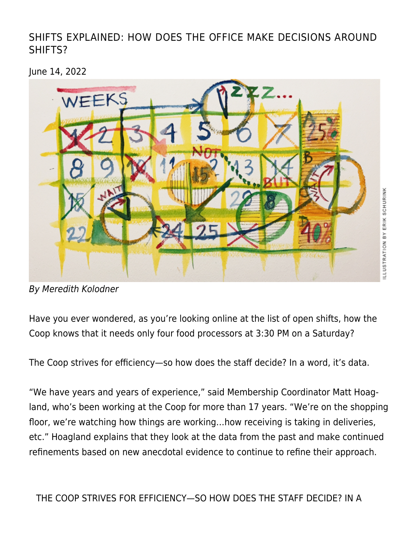[SHIFTS EXPLAINED: HOW DOES THE OFFICE MAKE DECISIONS AROUND](https://linewaitersgazette.com/2022/06/14/shifts-explained-how-does-the-office-make-decisions-around-shifts/) [SHIFTS?](https://linewaitersgazette.com/2022/06/14/shifts-explained-how-does-the-office-make-decisions-around-shifts/)

June 14, 2022



By Meredith Kolodner

Have you ever wondered, as you're looking online at the list of open shifts, how the Coop knows that it needs only four food processors at 3:30 PM on a Saturday?

The Coop strives for efficiency—so how does the staff decide? In a word, it's data.

"We have years and years of experience," said Membership Coordinator Matt Hoagland, who's been working at the Coop for more than 17 years. "We're on the shopping floor, we're watching how things are working…how receiving is taking in deliveries, etc." Hoagland explains that they look at the data from the past and make continued refinements based on new anecdotal evidence to continue to refine their approach.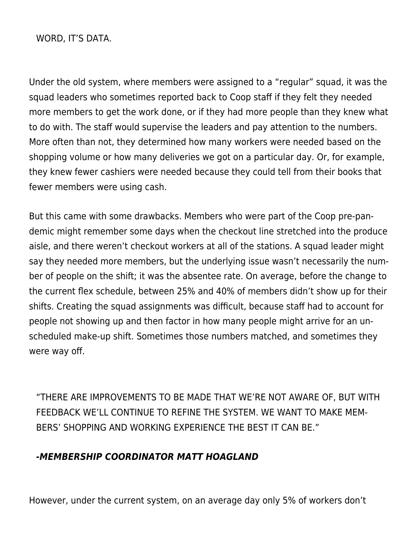WORD, IT'S DATA.

Under the old system, where members were assigned to a "regular" squad, it was the squad leaders who sometimes reported back to Coop staff if they felt they needed more members to get the work done, or if they had more people than they knew what to do with. The staff would supervise the leaders and pay attention to the numbers. More often than not, they determined how many workers were needed based on the shopping volume or how many deliveries we got on a particular day. Or, for example, they knew fewer cashiers were needed because they could tell from their books that fewer members were using cash.

But this came with some drawbacks. Members who were part of the Coop pre-pandemic might remember some days when the checkout line stretched into the produce aisle, and there weren't checkout workers at all of the stations. A squad leader might say they needed more members, but the underlying issue wasn't necessarily the number of people on the shift; it was the absentee rate. On average, before the change to the current flex schedule, between 25% and 40% of members didn't show up for their shifts. Creating the squad assignments was difficult, because staff had to account for people not showing up and then factor in how many people might arrive for an unscheduled make-up shift. Sometimes those numbers matched, and sometimes they were way off.

"THERE ARE IMPROVEMENTS TO BE MADE THAT WE'RE NOT AWARE OF, BUT WITH FEEDBACK WE'LL CONTINUE TO REFINE THE SYSTEM. WE WANT TO MAKE MEM-BERS' SHOPPING AND WORKING EXPERIENCE THE BEST IT CAN BE."

## *-MEMBERSHIP COORDINATOR MATT HOAGLAND*

However, under the current system, on an average day only 5% of workers don't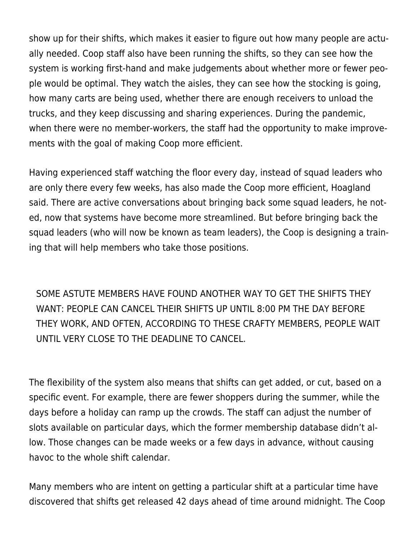show up for their shifts, which makes it easier to figure out how many people are actually needed. Coop staff also have been running the shifts, so they can see how the system is working first-hand and make judgements about whether more or fewer people would be optimal. They watch the aisles, they can see how the stocking is going, how many carts are being used, whether there are enough receivers to unload the trucks, and they keep discussing and sharing experiences. During the pandemic, when there were no member-workers, the staff had the opportunity to make improvements with the goal of making Coop more efficient.

Having experienced staff watching the floor every day, instead of squad leaders who are only there every few weeks, has also made the Coop more efficient, Hoagland said. There are active conversations about bringing back some squad leaders, he noted, now that systems have become more streamlined. But before bringing back the squad leaders (who will now be known as team leaders), the Coop is designing a training that will help members who take those positions.

SOME ASTUTE MEMBERS HAVE FOUND ANOTHER WAY TO GET THE SHIFTS THEY WANT: PEOPLE CAN CANCEL THEIR SHIFTS UP UNTIL 8:00 PM THE DAY BEFORE THEY WORK, AND OFTEN, ACCORDING TO THESE CRAFTY MEMBERS, PEOPLE WAIT UNTIL VERY CLOSE TO THE DEADLINE TO CANCEL.

The flexibility of the system also means that shifts can get added, or cut, based on a specific event. For example, there are fewer shoppers during the summer, while the days before a holiday can ramp up the crowds. The staff can adjust the number of slots available on particular days, which the former membership database didn't allow. Those changes can be made weeks or a few days in advance, without causing havoc to the whole shift calendar.

Many members who are intent on getting a particular shift at a particular time have discovered that shifts get released 42 days ahead of time around midnight. The Coop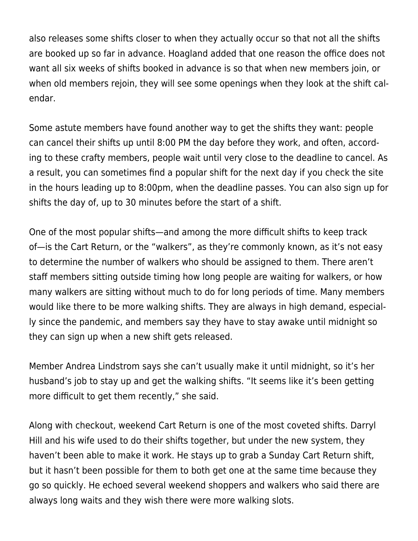also releases some shifts closer to when they actually occur so that not all the shifts are booked up so far in advance. Hoagland added that one reason the office does not want all six weeks of shifts booked in advance is so that when new members join, or when old members rejoin, they will see some openings when they look at the shift calendar.

Some astute members have found another way to get the shifts they want: people can cancel their shifts up until 8:00 PM the day before they work, and often, according to these crafty members, people wait until very close to the deadline to cancel. As a result, you can sometimes find a popular shift for the next day if you check the site in the hours leading up to 8:00pm, when the deadline passes. You can also sign up for shifts the day of, up to 30 minutes before the start of a shift.

One of the most popular shifts—and among the more difficult shifts to keep track of—is the Cart Return, or the "walkers", as they're commonly known, as it's not easy to determine the number of walkers who should be assigned to them. There aren't staff members sitting outside timing how long people are waiting for walkers, or how many walkers are sitting without much to do for long periods of time. Many members would like there to be more walking shifts. They are always in high demand, especially since the pandemic, and members say they have to stay awake until midnight so they can sign up when a new shift gets released.

Member Andrea Lindstrom says she can't usually make it until midnight, so it's her husband's job to stay up and get the walking shifts. "It seems like it's been getting more difficult to get them recently," she said.

Along with checkout, weekend Cart Return is one of the most coveted shifts. Darryl Hill and his wife used to do their shifts together, but under the new system, they haven't been able to make it work. He stays up to grab a Sunday Cart Return shift, but it hasn't been possible for them to both get one at the same time because they go so quickly. He echoed several weekend shoppers and walkers who said there are always long waits and they wish there were more walking slots.